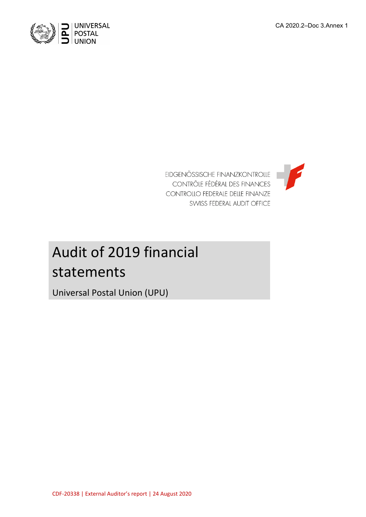



# Audit of 2019 financial statements

Universal Postal Union (UPU)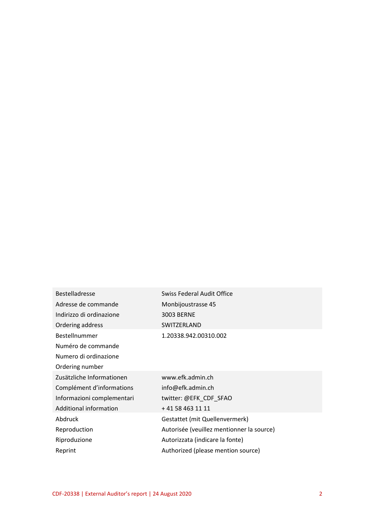| <b>Bestelladresse</b>      | <b>Swiss Federal Audit Office</b>         |
|----------------------------|-------------------------------------------|
| Adresse de commande        | Monbijoustrasse 45                        |
| Indirizzo di ordinazione   | <b>3003 BERNE</b>                         |
| Ordering address           | SWITZERLAND                               |
| Bestellnummer              | 1.20338.942.00310.002                     |
| Numéro de commande         |                                           |
| Numero di ordinazione      |                                           |
| Ordering number            |                                           |
| Zusätzliche Informationen  | www.efk.admin.ch                          |
| Complément d'informations  | info@efk.admin.ch                         |
| Informazioni complementari | twitter: @EFK CDF SFAO                    |
| Additional information     | +41 58 463 11 11                          |
| Abdruck                    | <b>Gestattet (mit Quellenvermerk)</b>     |
| Reproduction               | Autorisée (veuillez mentionner la source) |
| Riproduzione               | Autorizzata (indicare la fonte)           |
| Reprint                    | Authorized (please mention source)        |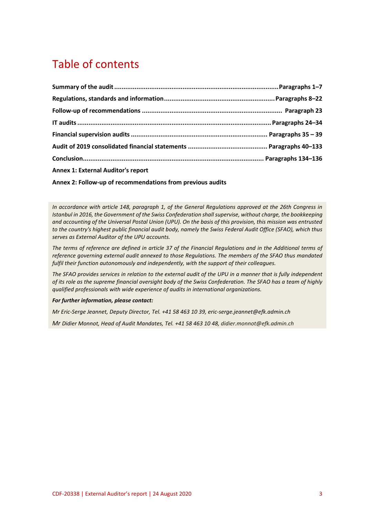# Table of contents

| <b>Annex 1: External Auditor's report</b> |  |
|-------------------------------------------|--|

**Annex 2: Follow-up of recommendations from previous audits**

*In accordance with article 148, paragraph 1, of the General Regulations approved at the 26th Congress in Istanbul in 2016, the Government of the Swiss Confederation shall supervise, without charge, the bookkeeping and accounting of the Universal Postal Union (UPU). On the basis of this provision, this mission was entrusted to the country's highest public financial audit body, namely the Swiss Federal Audit Office (SFAO), which thus serves as External Auditor of the UPU accounts.*

*The terms of reference are defined in article 37 of the Financial Regulations and in the Additional terms of reference governing external audit annexed to those Regulations. The members of the SFAO thus mandated fulfil their function autonomously and independently, with the support of their colleagues.*

*The SFAO provides services in relation to the external audit of the UPU in a manner that is fully independent of its role as the supreme financial oversight body of the Swiss Confederation. The SFAO has a team of highly qualified professionals with wide experience of audits in international organizations.*

#### *For further information, please contact:*

*Mr Eric-Serge Jeannet, Deputy Director, Tel. +41 58 463 10 39, eric-serge.jeannet@efk.admin.ch*

*Mr Didier Monnot, Head of Audit Mandates, Tel. +41 58 463 10 48[, didier.monnot@efk.admin.ch](mailto:didier.monnot@efk.admin.ch)*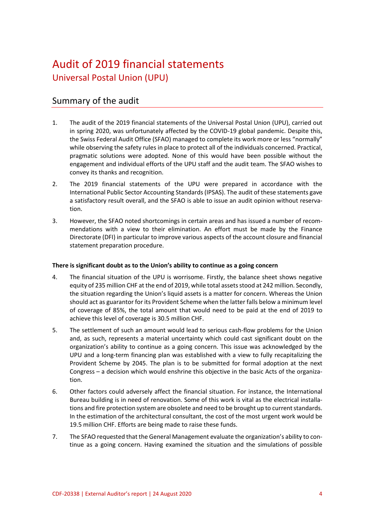# Audit of 2019 financial statements Universal Postal Union (UPU)

### Summary of the audit

- 1. The audit of the 2019 financial statements of the Universal Postal Union (UPU), carried out in spring 2020, was unfortunately affected by the COVID-19 global pandemic. Despite this, the Swiss Federal Audit Office (SFAO) managed to complete its work more or less "normally" while observing the safety rules in place to protect all of the individuals concerned. Practical, pragmatic solutions were adopted. None of this would have been possible without the engagement and individual efforts of the UPU staff and the audit team. The SFAO wishes to convey its thanks and recognition.
- 2. The 2019 financial statements of the UPU were prepared in accordance with the International Public Sector Accounting Standards (IPSAS). The audit of these statements gave a satisfactory result overall, and the SFAO is able to issue an audit opinion without reservation.
- 3. However, the SFAO noted shortcomings in certain areas and has issued a number of recommendations with a view to their elimination. An effort must be made by the Finance Directorate (DFI) in particular to improve various aspects of the account closure and financial statement preparation procedure.

### **There is significant doubt as to the Union's ability to continue as a going concern**

- 4. The financial situation of the UPU is worrisome. Firstly, the balance sheet shows negative equity of 235 million CHF at the end of 2019, while total assets stood at 242 million. Secondly, the situation regarding the Union's liquid assets is a matter for concern. Whereas the Union should act as guarantor for its Provident Scheme when the latter falls below a minimum level of coverage of 85%, the total amount that would need to be paid at the end of 2019 to achieve this level of coverage is 30.5 million CHF.
- 5. The settlement of such an amount would lead to serious cash-flow problems for the Union and, as such, represents a material uncertainty which could cast significant doubt on the organization's ability to continue as a going concern. This issue was acknowledged by the UPU and a long-term financing plan was established with a view to fully recapitalizing the Provident Scheme by 2045. The plan is to be submitted for formal adoption at the next Congress – a decision which would enshrine this objective in the basic Acts of the organization.
- 6. Other factors could adversely affect the financial situation. For instance, the International Bureau building is in need of renovation. Some of this work is vital as the electrical installations and fire protection system are obsolete and need to be brought up to current standards. In the estimation of the architectural consultant, the cost of the most urgent work would be 19.5 million CHF. Efforts are being made to raise these funds.
- 7. The SFAO requested that the General Management evaluate the organization's ability to continue as a going concern. Having examined the situation and the simulations of possible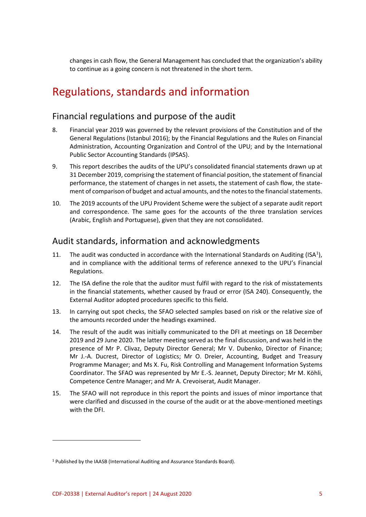changes in cash flow, the General Management has concluded that the organization's ability to continue as a going concern is not threatened in the short term.

# Regulations, standards and information

### Financial regulations and purpose of the audit

- 8. Financial year 2019 was governed by the relevant provisions of the Constitution and of the General Regulations (Istanbul 2016); by the Financial Regulations and the Rules on Financial Administration, Accounting Organization and Control of the UPU; and by the International Public Sector Accounting Standards (IPSAS).
- 9. This report describes the audits of the UPU's consolidated financial statements drawn up at 31 December 2019, comprising the statement of financial position, the statement of financial performance, the statement of changes in net assets, the statement of cash flow, the statement of comparison of budget and actual amounts, and the notes to the financial statements.
- 10. The 2019 accounts of the UPU Provident Scheme were the subject of a separate audit report and correspondence. The same goes for the accounts of the three translation services (Arabic, English and Portuguese), given that they are not consolidated.

### Audit standards, information and acknowledgments

- [1](#page-4-0)1. The audit was conducted in accordance with the International Standards on Auditing (ISA<sup>1</sup>), and in compliance with the additional terms of reference annexed to the UPU's Financial Regulations.
- 12. The ISA define the role that the auditor must fulfil with regard to the risk of misstatements in the financial statements, whether caused by fraud or error (ISA 240). Consequently, the External Auditor adopted procedures specific to this field.
- 13. In carrying out spot checks, the SFAO selected samples based on risk or the relative size of the amounts recorded under the headings examined.
- 14. The result of the audit was initially communicated to the DFI at meetings on 18 December 2019 and 29 June 2020. The latter meeting served as the final discussion, and was held in the presence of Mr P. Clivaz, Deputy Director General; Mr V. Dubenko, Director of Finance; Mr J.-A. Ducrest, Director of Logistics; Mr O. Dreier, Accounting, Budget and Treasury Programme Manager; and Ms X. Fu, Risk Controlling and Management Information Systems Coordinator. The SFAO was represented by Mr E.-S. Jeannet, Deputy Director; Mr M. Köhli, Competence Centre Manager; and Mr A. Crevoiserat, Audit Manager.
- 15. The SFAO will not reproduce in this report the points and issues of minor importance that were clarified and discussed in the course of the audit or at the above-mentioned meetings with the DFI.

1

<span id="page-4-0"></span><sup>1</sup> Published by the IAASB (International Auditing and Assurance Standards Board).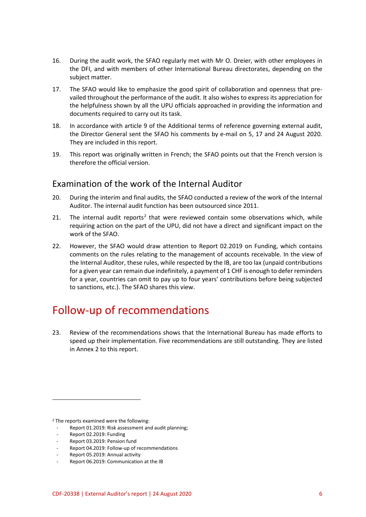- 16. During the audit work, the SFAO regularly met with Mr O. Dreier, with other employees in the DFI, and with members of other International Bureau directorates, depending on the subject matter.
- 17. The SFAO would like to emphasize the good spirit of collaboration and openness that prevailed throughout the performance of the audit. It also wishes to express its appreciation for the helpfulness shown by all the UPU officials approached in providing the information and documents required to carry out its task.
- 18. In accordance with article 9 of the Additional terms of reference governing external audit, the Director General sent the SFAO his comments by e-mail on 5, 17 and 24 August 2020. They are included in this report.
- 19. This report was originally written in French; the SFAO points out that the French version is therefore the official version.

### Examination of the work of the Internal Auditor

- 20. During the interim and final audits, the SFAO conducted a review of the work of the Internal Auditor. The internal audit function has been outsourced since 2011.
- [2](#page-5-0)1. The internal audit reports<sup>2</sup> that were reviewed contain some observations which, while requiring action on the part of the UPU, did not have a direct and significant impact on the work of the SFAO.
- 22. However, the SFAO would draw attention to Report 02.2019 on Funding, which contains comments on the rules relating to the management of accounts receivable. In the view of the Internal Auditor, these rules, while respected by the IB, are too lax (unpaid contributions for a given year can remain due indefinitely, a payment of 1 CHF is enough to defer reminders for a year, countries can omit to pay up to four years' contributions before being subjected to sanctions, etc.). The SFAO shares this view.

## Follow-up of recommendations

23. Review of the recommendations shows that the International Bureau has made efforts to speed up their implementation. Five recommendations are still outstanding. They are listed in Annex 2 to this report.

- Report 01.2019: Risk assessment and audit planning;
- Report 02.2019: Funding

**.** 

- Report 03.2019: Pension fund
- Report 04.2019: Follow-up of recommendations
- Report 05.2019: Annual activity
- Report 06.2019: Communication at the IB

<span id="page-5-0"></span><sup>2</sup> The reports examined were the following: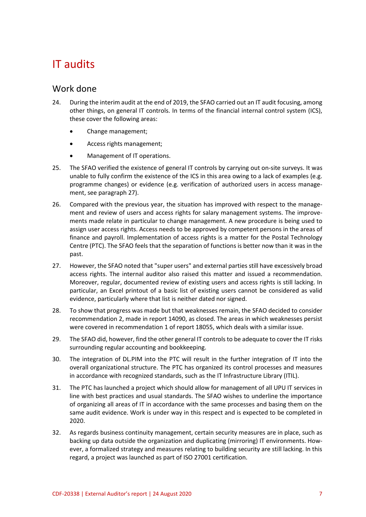# IT audits

### Work done

- 24. During the interim audit at the end of 2019, the SFAO carried out an IT audit focusing, among other things, on general IT controls. In terms of the financial internal control system (ICS), these cover the following areas:
	- Change management;
	- Access rights management;
	- Management of IT operations.
- 25. The SFAO verified the existence of general IT controls by carrying out on-site surveys. It was unable to fully confirm the existence of the ICS in this area owing to a lack of examples (e.g. programme changes) or evidence (e.g. verification of authorized users in access management, see paragraph 27).
- 26. Compared with the previous year, the situation has improved with respect to the management and review of users and access rights for salary management systems. The improvements made relate in particular to change management. A new procedure is being used to assign user access rights. Access needs to be approved by competent persons in the areas of finance and payroll. Implementation of access rights is a matter for the Postal Technology Centre (PTC). The SFAO feels that the separation of functions is better now than it was in the past.
- 27. However, the SFAO noted that "super users" and external parties still have excessively broad access rights. The internal auditor also raised this matter and issued a recommendation. Moreover, regular, documented review of existing users and access rights is still lacking. In particular, an Excel printout of a basic list of existing users cannot be considered as valid evidence, particularly where that list is neither dated nor signed.
- 28. To show that progress was made but that weaknesses remain, the SFAO decided to consider recommendation 2, made in report 14090, as closed. The areas in which weaknesses persist were covered in recommendation 1 of report 18055, which deals with a similar issue.
- 29. The SFAO did, however, find the other general IT controls to be adequate to cover the IT risks surrounding regular accounting and bookkeeping.
- 30. The integration of DL.PIM into the PTC will result in the further integration of IT into the overall organizational structure. The PTC has organized its control processes and measures in accordance with recognized standards, such as the IT Infrastructure Library (ITIL).
- 31. The PTC has launched a project which should allow for management of all UPU IT services in line with best practices and usual standards. The SFAO wishes to underline the importance of organizing all areas of IT in accordance with the same processes and basing them on the same audit evidence. Work is under way in this respect and is expected to be completed in 2020.
- 32. As regards business continuity management, certain security measures are in place, such as backing up data outside the organization and duplicating (mirroring) IT environments. However, a formalized strategy and measures relating to building security are still lacking. In this regard, a project was launched as part of ISO 27001 certification.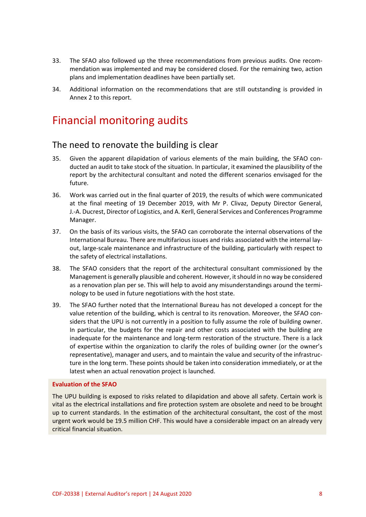- 33. The SFAO also followed up the three recommendations from previous audits. One recommendation was implemented and may be considered closed. For the remaining two, action plans and implementation deadlines have been partially set.
- 34. Additional information on the recommendations that are still outstanding is provided in Annex 2 to this report.

## Financial monitoring audits

### The need to renovate the building is clear

- 35. Given the apparent dilapidation of various elements of the main building, the SFAO conducted an audit to take stock of the situation. In particular, it examined the plausibility of the report by the architectural consultant and noted the different scenarios envisaged for the future.
- 36. Work was carried out in the final quarter of 2019, the results of which were communicated at the final meeting of 19 December 2019, with Mr P. Clivaz, Deputy Director General, J.-A. Ducrest, Director of Logistics, and A. Kerll, General Services and Conferences Programme Manager.
- 37. On the basis of its various visits, the SFAO can corroborate the internal observations of the International Bureau. There are multifarious issues and risks associated with the internal layout, large-scale maintenance and infrastructure of the building, particularly with respect to the safety of electrical installations.
- 38. The SFAO considers that the report of the architectural consultant commissioned by the Management is generally plausible and coherent. However, it should in no way be considered as a renovation plan per se. This will help to avoid any misunderstandings around the terminology to be used in future negotiations with the host state.
- 39. The SFAO further noted that the International Bureau has not developed a concept for the value retention of the building, which is central to its renovation. Moreover, the SFAO considers that the UPU is not currently in a position to fully assume the role of building owner. In particular, the budgets for the repair and other costs associated with the building are inadequate for the maintenance and long-term restoration of the structure. There is a lack of expertise within the organization to clarify the roles of building owner (or the owner's representative), manager and users, and to maintain the value and security of the infrastructure in the long term. These points should be taken into consideration immediately, or at the latest when an actual renovation project is launched.

#### **Evaluation of the SFAO**

The UPU building is exposed to risks related to dilapidation and above all safety. Certain work is vital as the electrical installations and fire protection system are obsolete and need to be brought up to current standards. In the estimation of the architectural consultant, the cost of the most urgent work would be 19.5 million CHF. This would have a considerable impact on an already very critical financial situation.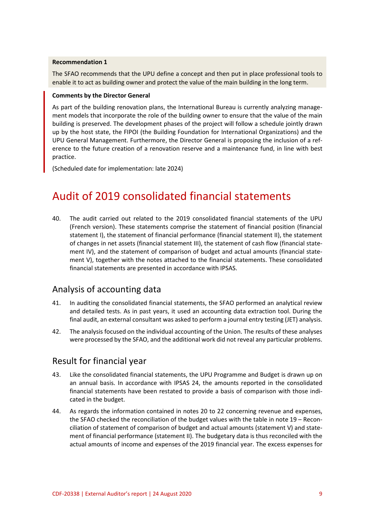#### **Recommendation 1**

The SFAO recommends that the UPU define a concept and then put in place professional tools to enable it to act as building owner and protect the value of the main building in the long term.

#### **Comments by the Director General**

As part of the building renovation plans, the International Bureau is currently analyzing management models that incorporate the role of the building owner to ensure that the value of the main building is preserved. The development phases of the project will follow a schedule jointly drawn up by the host state, the FIPOI (the Building Foundation for International Organizations) and the UPU General Management. Furthermore, the Director General is proposing the inclusion of a reference to the future creation of a renovation reserve and a maintenance fund, in line with best practice.

(Scheduled date for implementation: late 2024)

# Audit of 2019 consolidated financial statements

40. The audit carried out related to the 2019 consolidated financial statements of the UPU (French version). These statements comprise the statement of financial position (financial statement I), the statement of financial performance (financial statement II), the statement of changes in net assets (financial statement III), the statement of cash flow (financial statement IV), and the statement of comparison of budget and actual amounts (financial statement V), together with the notes attached to the financial statements. These consolidated financial statements are presented in accordance with IPSAS.

### Analysis of accounting data

- 41. In auditing the consolidated financial statements, the SFAO performed an analytical review and detailed tests. As in past years, it used an accounting data extraction tool. During the final audit, an external consultant was asked to perform a journal entry testing (JET) analysis.
- 42. The analysis focused on the individual accounting of the Union. The results of these analyses were processed by the SFAO, and the additional work did not reveal any particular problems.

### Result for financial year

- 43. Like the consolidated financial statements, the UPU Programme and Budget is drawn up on an annual basis. In accordance with IPSAS 24, the amounts reported in the consolidated financial statements have been restated to provide a basis of comparison with those indicated in the budget.
- 44. As regards the information contained in notes 20 to 22 concerning revenue and expenses, the SFAO checked the reconciliation of the budget values with the table in note 19 – Reconciliation of statement of comparison of budget and actual amounts (statement V) and statement of financial performance (statement II). The budgetary data is thus reconciled with the actual amounts of income and expenses of the 2019 financial year. The excess expenses for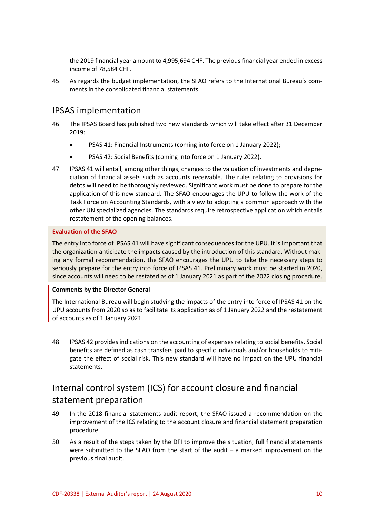the 2019 financial year amount to 4,995,694 CHF. The previous financial year ended in excess income of 78,584 CHF.

45. As regards the budget implementation, the SFAO refers to the International Bureau's comments in the consolidated financial statements.

### IPSAS implementation

- 46. The IPSAS Board has published two new standards which will take effect after 31 December 2019:
	- IPSAS 41: Financial Instruments (coming into force on 1 January 2022);
	- IPSAS 42: Social Benefits (coming into force on 1 January 2022).
- 47. IPSAS 41 will entail, among other things, changes to the valuation of investments and depreciation of financial assets such as accounts receivable. The rules relating to provisions for debts will need to be thoroughly reviewed. Significant work must be done to prepare for the application of this new standard. The SFAO encourages the UPU to follow the work of the Task Force on Accounting Standards, with a view to adopting a common approach with the other UN specialized agencies. The standards require retrospective application which entails restatement of the opening balances.

#### **Evaluation of the SFAO**

The entry into force of IPSAS 41 will have significant consequences for the UPU. It is important that the organization anticipate the impacts caused by the introduction of this standard. Without making any formal recommendation, the SFAO encourages the UPU to take the necessary steps to seriously prepare for the entry into force of IPSAS 41. Preliminary work must be started in 2020, since accounts will need to be restated as of 1 January 2021 as part of the 2022 closing procedure.

### **Comments by the Director General**

The International Bureau will begin studying the impacts of the entry into force of IPSAS 41 on the UPU accounts from 2020 so as to facilitate its application as of 1 January 2022 and the restatement of accounts as of 1 January 2021.

48. IPSAS 42 provides indications on the accounting of expenses relating to social benefits. Social benefits are defined as cash transfers paid to specific individuals and/or households to mitigate the effect of social risk. This new standard will have no impact on the UPU financial statements.

## Internal control system (ICS) for account closure and financial statement preparation

- 49. In the 2018 financial statements audit report, the SFAO issued a recommendation on the improvement of the ICS relating to the account closure and financial statement preparation procedure.
- 50. As a result of the steps taken by the DFI to improve the situation, full financial statements were submitted to the SFAO from the start of the audit – a marked improvement on the previous final audit.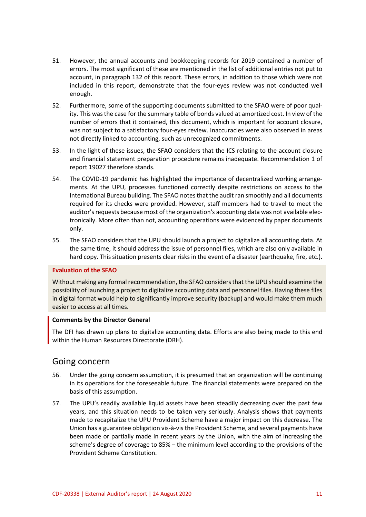- 51. However, the annual accounts and bookkeeping records for 2019 contained a number of errors. The most significant of these are mentioned in the list of additional entries not put to account, in paragraph 132 of this report. These errors, in addition to those which were not included in this report, demonstrate that the four-eyes review was not conducted well enough.
- 52. Furthermore, some of the supporting documents submitted to the SFAO were of poor quality. This was the case for the summary table of bonds valued at amortized cost. In view of the number of errors that it contained, this document, which is important for account closure, was not subject to a satisfactory four-eyes review. Inaccuracies were also observed in areas not directly linked to accounting, such as unrecognized commitments.
- 53. In the light of these issues, the SFAO considers that the ICS relating to the account closure and financial statement preparation procedure remains inadequate. Recommendation 1 of report 19027 therefore stands.
- 54. The COVID-19 pandemic has highlighted the importance of decentralized working arrangements. At the UPU, processes functioned correctly despite restrictions on access to the International Bureau building. The SFAO notes that the audit ran smoothly and all documents required for its checks were provided. However, staff members had to travel to meet the auditor's requests because most of the organization's accounting data was not available electronically. More often than not, accounting operations were evidenced by paper documents only.
- 55. The SFAO considers that the UPU should launch a project to digitalize all accounting data. At the same time, it should address the issue of personnel files, which are also only available in hard copy. This situation presents clear risks in the event of a disaster (earthquake, fire, etc.).

#### **Evaluation of the SFAO**

Without making any formal recommendation, the SFAO considers that the UPU should examine the possibility of launching a project to digitalize accounting data and personnel files. Having these files in digital format would help to significantly improve security (backup) and would make them much easier to access at all times.

#### **Comments by the Director General**

The DFI has drawn up plans to digitalize accounting data. Efforts are also being made to this end within the Human Resources Directorate (DRH).

### Going concern

- 56. Under the going concern assumption, it is presumed that an organization will be continuing in its operations for the foreseeable future. The financial statements were prepared on the basis of this assumption.
- 57. The UPU's readily available liquid assets have been steadily decreasing over the past few years, and this situation needs to be taken very seriously. Analysis shows that payments made to recapitalize the UPU Provident Scheme have a major impact on this decrease. The Union has a guarantee obligation vis-à-vis the Provident Scheme, and several payments have been made or partially made in recent years by the Union, with the aim of increasing the scheme's degree of coverage to 85% – the minimum level according to the provisions of the Provident Scheme Constitution.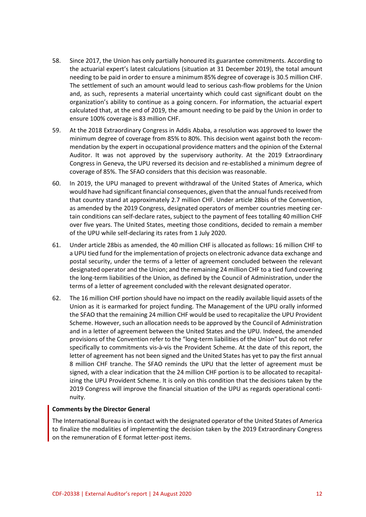- 58. Since 2017, the Union has only partially honoured its guarantee commitments. According to the actuarial expert's latest calculations (situation at 31 December 2019), the total amount needing to be paid in order to ensure a minimum 85% degree of coverage is 30.5 million CHF. The settlement of such an amount would lead to serious cash-flow problems for the Union and, as such, represents a material uncertainty which could cast significant doubt on the organization's ability to continue as a going concern. For information, the actuarial expert calculated that, at the end of 2019, the amount needing to be paid by the Union in order to ensure 100% coverage is 83 million CHF.
- 59. At the 2018 Extraordinary Congress in Addis Ababa, a resolution was approved to lower the minimum degree of coverage from 85% to 80%. This decision went against both the recommendation by the expert in occupational providence matters and the opinion of the External Auditor. It was not approved by the supervisory authority. At the 2019 Extraordinary Congress in Geneva, the UPU reversed its decision and re-established a minimum degree of coverage of 85%. The SFAO considers that this decision was reasonable.
- 60. In 2019, the UPU managed to prevent withdrawal of the United States of America, which would have had significant financial consequences, given that the annual funds received from that country stand at approximately 2.7 million CHF. Under article 28bis of the Convention, as amended by the 2019 Congress, designated operators of member countries meeting certain conditions can self-declare rates, subject to the payment of fees totalling 40 million CHF over five years. The United States, meeting those conditions, decided to remain a member of the UPU while self-declaring its rates from 1 July 2020.
- 61. Under article 28bis as amended, the 40 million CHF is allocated as follows: 16 million CHF to a UPU tied fund for the implementation of projects on electronic advance data exchange and postal security, under the terms of a letter of agreement concluded between the relevant designated operator and the Union; and the remaining 24 million CHF to a tied fund covering the long-term liabilities of the Union, as defined by the Council of Administration, under the terms of a letter of agreement concluded with the relevant designated operator.
- 62. The 16 million CHF portion should have no impact on the readily available liquid assets of the Union as it is earmarked for project funding. The Management of the UPU orally informed the SFAO that the remaining 24 million CHF would be used to recapitalize the UPU Provident Scheme. However, such an allocation needs to be approved by the Council of Administration and in a letter of agreement between the United States and the UPU. Indeed, the amended provisions of the Convention refer to the "long-term liabilities of the Union" but do not refer specifically to commitments vis-à-vis the Provident Scheme. At the date of this report, the letter of agreement has not been signed and the United States has yet to pay the first annual 8 million CHF tranche. The SFAO reminds the UPU that the letter of agreement must be signed, with a clear indication that the 24 million CHF portion is to be allocated to recapitalizing the UPU Provident Scheme. It is only on this condition that the decisions taken by the 2019 Congress will improve the financial situation of the UPU as regards operational continuity.

#### **Comments by the Director General**

The International Bureau is in contact with the designated operator of the United States of America to finalize the modalities of implementing the decision taken by the 2019 Extraordinary Congress on the remuneration of E format letter-post items.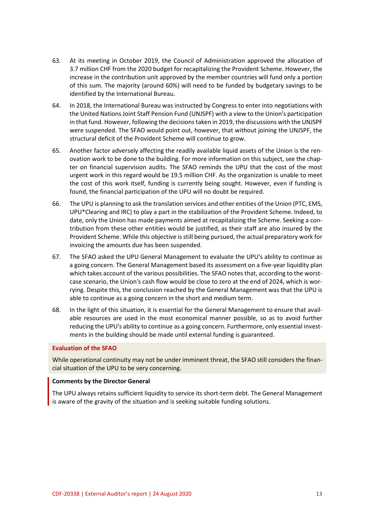- 63. At its meeting in October 2019, the Council of Administration approved the allocation of 3.7 million CHF from the 2020 budget for recapitalizing the Provident Scheme. However, the increase in the contribution unit approved by the member countries will fund only a portion of this sum. The majority (around 60%) will need to be funded by budgetary savings to be identified by the International Bureau.
- 64. In 2018, the International Bureau was instructed by Congress to enter into negotiations with the United Nations Joint Staff Pension Fund (UNJSPF) with a view to the Union's participation in that fund. However, following the decisions taken in 2019, the discussions with the UNJSPF were suspended. The SFAO would point out, however, that without joining the UNJSPF, the structural deficit of the Provident Scheme will continue to grow.
- 65. Another factor adversely affecting the readily available liquid assets of the Union is the renovation work to be done to the building. For more information on this subject, see the chapter on financial supervision audits. The SFAO reminds the UPU that the cost of the most urgent work in this regard would be 19.5 million CHF. As the organization is unable to meet the cost of this work itself, funding is currently being sought. However, even if funding is found, the financial participation of the UPU will no doubt be required.
- 66. The UPU is planning to ask the translation services and other entities of the Union (PTC, EMS, UPU\*Clearing and IRC) to play a part in the stabilization of the Provident Scheme. Indeed, to date, only the Union has made payments aimed at recapitalizing the Scheme. Seeking a contribution from these other entities would be justified, as their staff are also insured by the Provident Scheme. While this objective is still being pursued, the actual preparatory work for invoicing the amounts due has been suspended.
- 67. The SFAO asked the UPU General Management to evaluate the UPU's ability to continue as a going concern. The General Management based its assessment on a five-year liquidity plan which takes account of the various possibilities. The SFAO notes that, according to the worstcase scenario, the Union's cash flow would be close to zero at the end of 2024, which is worrying. Despite this, the conclusion reached by the General Management was that the UPU is able to continue as a going concern in the short and medium term.
- 68. In the light of this situation, it is essential for the General Management to ensure that available resources are used in the most economical manner possible, so as to avoid further reducing the UPU's ability to continue as a going concern. Furthermore, only essential investments in the building should be made until external funding is guaranteed.

#### **Evaluation of the SFAO**

While operational continuity may not be under imminent threat, the SFAO still considers the financial situation of the UPU to be very concerning.

#### **Comments by the Director General**

The UPU always retains sufficient liquidity to service its short-term debt. The General Management is aware of the gravity of the situation and is seeking suitable funding solutions.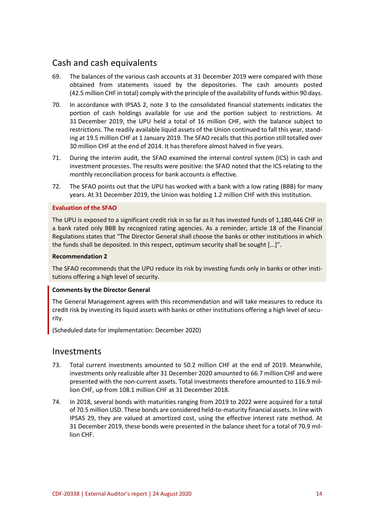### Cash and cash equivalents

- 69. The balances of the various cash accounts at 31 December 2019 were compared with those obtained from statements issued by the depositories. The cash amounts posted (42.5 million CHF in total) comply with the principle of the availability of funds within 90 days.
- 70. In accordance with IPSAS 2, note 3 to the consolidated financial statements indicates the portion of cash holdings available for use and the portion subject to restrictions. At 31 December 2019, the UPU held a total of 16 million CHF, with the balance subject to restrictions. The readily available liquid assets of the Union continued to fall this year, standing at 19.5 million CHF at 1 January 2019. The SFAO recalls that this portion still totalled over 30 million CHF at the end of 2014. It has therefore almost halved in five years.
- 71. During the interim audit, the SFAO examined the internal control system (ICS) in cash and investment processes. The results were positive: the SFAO noted that the ICS relating to the monthly reconciliation process for bank accounts is effective.
- 72. The SFAO points out that the UPU has worked with a bank with a low rating (BBB) for many years. At 31 December 2019, the Union was holding 1.2 million CHF with this institution.

#### **Evaluation of the SFAO**

The UPU is exposed to a significant credit risk in so far as it has invested funds of 1,180,446 CHF in a bank rated only BBB by recognized rating agencies. As a reminder, article 18 of the Financial Regulations states that "The Director General shall choose the banks or other institutions in which the funds shall be deposited. In this respect, optimum security shall be sought [...]".

#### **Recommendation 2**

The SFAO recommends that the UPU reduce its risk by investing funds only in banks or other institutions offering a high level of security.

### **Comments by the Director General**

The General Management agrees with this recommendation and will take measures to reduce its credit risk by investing its liquid assets with banks or other institutions offering a high level of security.

(Scheduled date for implementation: December 2020)

### Investments

- 73. Total current investments amounted to 50.2 million CHF at the end of 2019. Meanwhile, investments only realizable after 31 December 2020 amounted to 66.7 million CHF and were presented with the non-current assets. Total investments therefore amounted to 116.9 million CHF, up from 108.1 million CHF at 31 December 2018.
- 74. In 2018, several bonds with maturities ranging from 2019 to 2022 were acquired for a total of 70.5 million USD. These bonds are considered held-to-maturity financial assets. In line with IPSAS 29, they are valued at amortized cost, using the effective interest rate method. At 31 December 2019, these bonds were presented in the balance sheet for a total of 70.9 million CHF.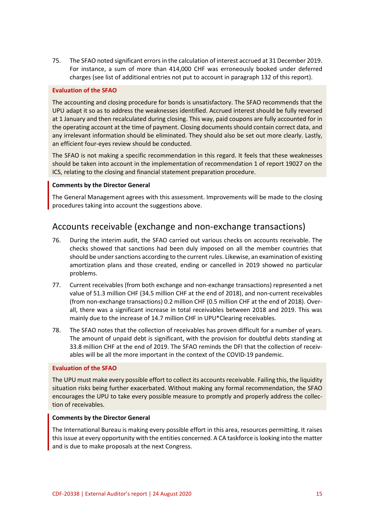75. The SFAO noted significant errors in the calculation of interest accrued at 31 December 2019. For instance, a sum of more than 414,000 CHF was erroneously booked under deferred charges (see list of additional entries not put to account in paragraph 132 of this report).

#### **Evaluation of the SFAO**

The accounting and closing procedure for bonds is unsatisfactory. The SFAO recommends that the UPU adapt it so as to address the weaknesses identified. Accrued interest should be fully reversed at 1 January and then recalculated during closing. This way, paid coupons are fully accounted for in the operating account at the time of payment. Closing documents should contain correct data, and any irrelevant information should be eliminated. They should also be set out more clearly. Lastly, an efficient four-eyes review should be conducted.

The SFAO is not making a specific recommendation in this regard. It feels that these weaknesses should be taken into account in the implementation of recommendation 1 of report 19027 on the ICS, relating to the closing and financial statement preparation procedure.

#### **Comments by the Director General**

The General Management agrees with this assessment. Improvements will be made to the closing procedures taking into account the suggestions above.

## Accounts receivable (exchange and non-exchange transactions)

- 76. During the interim audit, the SFAO carried out various checks on accounts receivable. The checks showed that sanctions had been duly imposed on all the member countries that should be under sanctions according to the current rules. Likewise, an examination of existing amortization plans and those created, ending or cancelled in 2019 showed no particular problems.
- 77. Current receivables (from both exchange and non-exchange transactions) represented a net value of 51.3 million CHF (34.5 million CHF at the end of 2018), and non-current receivables (from non-exchange transactions) 0.2 million CHF (0.5 million CHF at the end of 2018). Overall, there was a significant increase in total receivables between 2018 and 2019. This was mainly due to the increase of 14.7 million CHF in UPU\*Clearing receivables.
- 78. The SFAO notes that the collection of receivables has proven difficult for a number of years. The amount of unpaid debt is significant, with the provision for doubtful debts standing at 33.8 million CHF at the end of 2019. The SFAO reminds the DFI that the collection of receivables will be all the more important in the context of the COVID-19 pandemic.

#### **Evaluation of the SFAO**

The UPU must make every possible effort to collect its accounts receivable. Failing this, the liquidity situation risks being further exacerbated. Without making any formal recommendation, the SFAO encourages the UPU to take every possible measure to promptly and properly address the collection of receivables.

#### **Comments by the Director General**

The International Bureau is making every possible effort in this area, resources permitting. It raises this issue at every opportunity with the entities concerned. A CA taskforce is looking into the matter and is due to make proposals at the next Congress.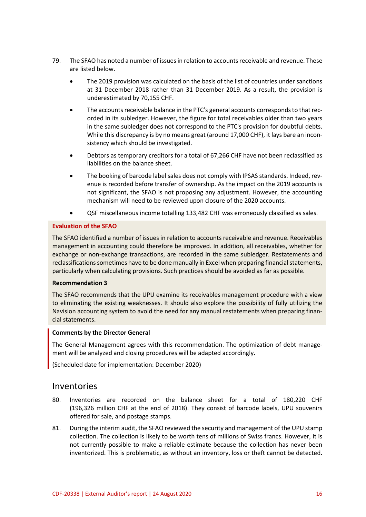- 79. The SFAO has noted a number of issues in relation to accounts receivable and revenue. These are listed below.
	- The 2019 provision was calculated on the basis of the list of countries under sanctions at 31 December 2018 rather than 31 December 2019. As a result, the provision is underestimated by 70,155 CHF.
	- The accounts receivable balance in the PTC's general accounts corresponds to that recorded in its subledger. However, the figure for total receivables older than two years in the same subledger does not correspond to the PTC's provision for doubtful debts. While this discrepancy is by no means great (around 17,000 CHF), it lays bare an inconsistency which should be investigated.
	- Debtors as temporary creditors for a total of 67,266 CHF have not been reclassified as liabilities on the balance sheet.
	- The booking of barcode label sales does not comply with IPSAS standards. Indeed, revenue is recorded before transfer of ownership. As the impact on the 2019 accounts is not significant, the SFAO is not proposing any adjustment. However, the accounting mechanism will need to be reviewed upon closure of the 2020 accounts.
	- QSF miscellaneous income totalling 133,482 CHF was erroneously classified as sales.

#### **Evaluation of the SFAO**

The SFAO identified a number of issues in relation to accounts receivable and revenue. Receivables management in accounting could therefore be improved. In addition, all receivables, whether for exchange or non-exchange transactions, are recorded in the same subledger. Restatements and reclassifications sometimes have to be done manually in Excel when preparing financial statements, particularly when calculating provisions. Such practices should be avoided as far as possible.

#### **Recommendation 3**

The SFAO recommends that the UPU examine its receivables management procedure with a view to eliminating the existing weaknesses. It should also explore the possibility of fully utilizing the Navision accounting system to avoid the need for any manual restatements when preparing financial statements.

#### **Comments by the Director General**

The General Management agrees with this recommendation. The optimization of debt management will be analyzed and closing procedures will be adapted accordingly.

(Scheduled date for implementation: December 2020)

### Inventories

- 80. Inventories are recorded on the balance sheet for a total of 180,220 CHF (196,326 million CHF at the end of 2018). They consist of barcode labels, UPU souvenirs offered for sale, and postage stamps.
- 81. During the interim audit, the SFAO reviewed the security and management of the UPU stamp collection. The collection is likely to be worth tens of millions of Swiss francs. However, it is not currently possible to make a reliable estimate because the collection has never been inventorized. This is problematic, as without an inventory, loss or theft cannot be detected.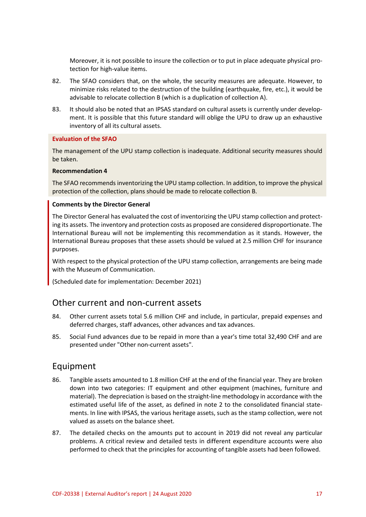Moreover, it is not possible to insure the collection or to put in place adequate physical protection for high-value items.

- 82. The SFAO considers that, on the whole, the security measures are adequate. However, to minimize risks related to the destruction of the building (earthquake, fire, etc.), it would be advisable to relocate collection B (which is a duplication of collection A).
- 83. It should also be noted that an IPSAS standard on cultural assets is currently under development. It is possible that this future standard will oblige the UPU to draw up an exhaustive inventory of all its cultural assets.

#### **Evaluation of the SFAO**

The management of the UPU stamp collection is inadequate. Additional security measures should be taken.

#### **Recommendation 4**

The SFAO recommends inventorizing the UPU stamp collection. In addition, to improve the physical protection of the collection, plans should be made to relocate collection B.

#### **Comments by the Director General**

The Director General has evaluated the cost of inventorizing the UPU stamp collection and protecting its assets. The inventory and protection costs as proposed are considered disproportionate. The International Bureau will not be implementing this recommendation as it stands. However, the International Bureau proposes that these assets should be valued at 2.5 million CHF for insurance purposes.

With respect to the physical protection of the UPU stamp collection, arrangements are being made with the Museum of Communication.

(Scheduled date for implementation: December 2021)

### Other current and non-current assets

- 84. Other current assets total 5.6 million CHF and include, in particular, prepaid expenses and deferred charges, staff advances, other advances and tax advances.
- 85. Social Fund advances due to be repaid in more than a year's time total 32,490 CHF and are presented under "Other non-current assets".

### Equipment

- 86. Tangible assets amounted to 1.8 million CHF at the end of the financial year. They are broken down into two categories: IT equipment and other equipment (machines, furniture and material). The depreciation is based on the straight-line methodology in accordance with the estimated useful life of the asset, as defined in note 2 to the consolidated financial statements. In line with IPSAS, the various heritage assets, such as the stamp collection, were not valued as assets on the balance sheet.
- 87. The detailed checks on the amounts put to account in 2019 did not reveal any particular problems. A critical review and detailed tests in different expenditure accounts were also performed to check that the principles for accounting of tangible assets had been followed.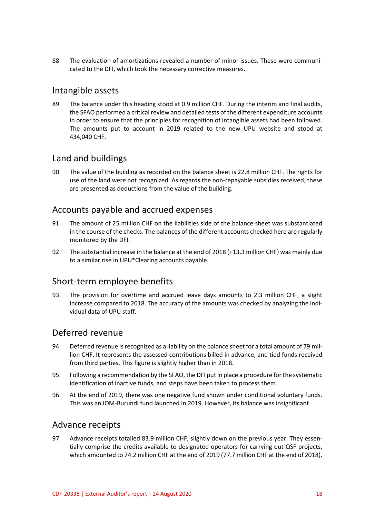88. The evaluation of amortizations revealed a number of minor issues. These were communicated to the DFI, which took the necessary corrective measures.

### Intangible assets

89. The balance under this heading stood at 0.9 million CHF. During the interim and final audits, the SFAO performed a critical review and detailed tests of the different expenditure accounts in order to ensure that the principles for recognition of intangible assets had been followed. The amounts put to account in 2019 related to the new UPU website and stood at 434,040 CHF.

### Land and buildings

90. The value of the building as recorded on the balance sheet is 22.8 million CHF. The rights for use of the land were not recognized. As regards the non-repayable subsidies received, these are presented as deductions from the value of the building.

### Accounts payable and accrued expenses

- 91. The amount of 25 million CHF on the liabilities side of the balance sheet was substantiated in the course of the checks. The balances of the different accounts checked here are regularly monitored by the DFI.
- 92. The substantial increase in the balance at the end of 2018 (+13.3 million CHF) was mainly due to a similar rise in UPU\*Clearing accounts payable.

### Short-term employee benefits

93. The provision for overtime and accrued leave days amounts to 2.3 million CHF, a slight increase compared to 2018. The accuracy of the amounts was checked by analyzing the individual data of UPU staff.

### Deferred revenue

- 94. Deferred revenue is recognized as a liability on the balance sheet for a total amount of 79 million CHF. It represents the assessed contributions billed in advance, and tied funds received from third parties. This figure is slightly higher than in 2018.
- 95. Following a recommendation by the SFAO, the DFI put in place a procedure for the systematic identification of inactive funds, and steps have been taken to process them.
- 96. At the end of 2019, there was one negative fund shown under conditional voluntary funds. This was an IOM-Burundi fund launched in 2019. However, its balance was insignificant.

### Advance receipts

97. Advance receipts totalled 83.9 million CHF, slightly down on the previous year. They essentially comprise the credits available to designated operators for carrying out QSF projects, which amounted to 74.2 million CHF at the end of 2019 (77.7 million CHF at the end of 2018).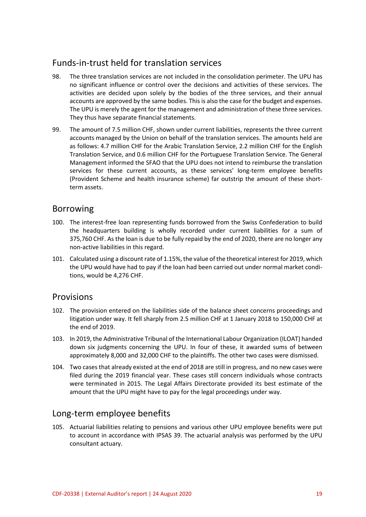### Funds-in-trust held for translation services

- 98. The three translation services are not included in the consolidation perimeter. The UPU has no significant influence or control over the decisions and activities of these services. The activities are decided upon solely by the bodies of the three services, and their annual accounts are approved by the same bodies. This is also the case for the budget and expenses. The UPU is merely the agent for the management and administration of these three services. They thus have separate financial statements.
- 99. The amount of 7.5 million CHF, shown under current liabilities, represents the three current accounts managed by the Union on behalf of the translation services. The amounts held are as follows: 4.7 million CHF for the Arabic Translation Service, 2.2 million CHF for the English Translation Service, and 0.6 million CHF for the Portuguese Translation Service. The General Management informed the SFAO that the UPU does not intend to reimburse the translation services for these current accounts, as these services' long-term employee benefits (Provident Scheme and health insurance scheme) far outstrip the amount of these shortterm assets.

### Borrowing

- 100. The interest-free loan representing funds borrowed from the Swiss Confederation to build the headquarters building is wholly recorded under current liabilities for a sum of 375,760 CHF. As the loan is due to be fully repaid by the end of 2020, there are no longer any non-active liabilities in this regard.
- 101. Calculated using a discount rate of 1.15%, the value of the theoretical interest for 2019, which the UPU would have had to pay if the loan had been carried out under normal market conditions, would be 4,276 CHF.

### **Provisions**

- 102. The provision entered on the liabilities side of the balance sheet concerns proceedings and litigation under way. It fell sharply from 2.5 million CHF at 1 January 2018 to 150,000 CHF at the end of 2019.
- 103. In 2019, the Administrative Tribunal of the International Labour Organization (ILOAT) handed down six judgments concerning the UPU. In four of these, it awarded sums of between approximately 8,000 and 32,000 CHF to the plaintiffs. The other two cases were dismissed.
- 104. Two cases that already existed at the end of 2018 are still in progress, and no new cases were filed during the 2019 financial year. These cases still concern individuals whose contracts were terminated in 2015. The Legal Affairs Directorate provided its best estimate of the amount that the UPU might have to pay for the legal proceedings under way.

### Long-term employee benefits

105. Actuarial liabilities relating to pensions and various other UPU employee benefits were put to account in accordance with IPSAS 39. The actuarial analysis was performed by the UPU consultant actuary.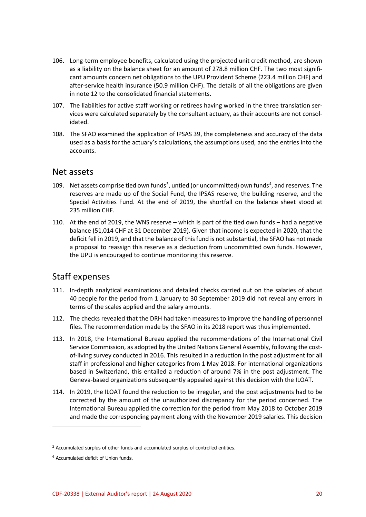- 106. Long-term employee benefits, calculated using the projected unit credit method, are shown as a liability on the balance sheet for an amount of 278.8 million CHF. The two most significant amounts concern net obligations to the UPU Provident Scheme (223.4 million CHF) and after-service health insurance (50.9 million CHF). The details of all the obligations are given in note 12 to the consolidated financial statements.
- 107. The liabilities for active staff working or retirees having worked in the three translation services were calculated separately by the consultant actuary, as their accounts are not consolidated.
- 108. The SFAO examined the application of IPSAS 39, the completeness and accuracy of the data used as a basis for the actuary's calculations, the assumptions used, and the entries into the accounts.

### Net assets

- 109. Net assets comprise tied own funds<sup>[3](#page-19-0)</sup>, untied (or uncommitted) own funds<sup>[4](#page-19-1)</sup>, and reserves. The reserves are made up of the Social Fund, the IPSAS reserve, the building reserve, and the Special Activities Fund. At the end of 2019, the shortfall on the balance sheet stood at 235 million CHF.
- 110. At the end of 2019, the WNS reserve which is part of the tied own funds had a negative balance (51,014 CHF at 31 December 2019). Given that income is expected in 2020, that the deficit fell in 2019, and that the balance of this fund is not substantial, the SFAO has not made a proposal to reassign this reserve as a deduction from uncommitted own funds. However, the UPU is encouraged to continue monitoring this reserve.

### Staff expenses

- 111. In-depth analytical examinations and detailed checks carried out on the salaries of about 40 people for the period from 1 January to 30 September 2019 did not reveal any errors in terms of the scales applied and the salary amounts.
- 112. The checks revealed that the DRH had taken measures to improve the handling of personnel files. The recommendation made by the SFAO in its 2018 report was thus implemented.
- 113. In 2018, the International Bureau applied the recommendations of the International Civil Service Commission, as adopted by the United Nations General Assembly, following the costof-living survey conducted in 2016. This resulted in a reduction in the post adjustment for all staff in professional and higher categories from 1 May 2018. For international organizations based in Switzerland, this entailed a reduction of around 7% in the post adjustment. The Geneva-based organizations subsequently appealed against this decision with the ILOAT.
- 114. In 2019, the ILOAT found the reduction to be irregular, and the post adjustments had to be corrected by the amount of the unauthorized discrepancy for the period concerned. The International Bureau applied the correction for the period from May 2018 to October 2019 and made the corresponding payment along with the November 2019 salaries. This decision

**.** 

<span id="page-19-0"></span><sup>&</sup>lt;sup>3</sup> Accumulated surplus of other funds and accumulated surplus of controlled entities.

<span id="page-19-1"></span><sup>4</sup> Accumulated deficit of Union funds.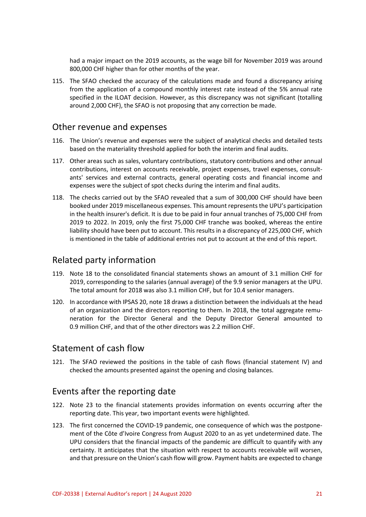had a major impact on the 2019 accounts, as the wage bill for November 2019 was around 800,000 CHF higher than for other months of the year.

115. The SFAO checked the accuracy of the calculations made and found a discrepancy arising from the application of a compound monthly interest rate instead of the 5% annual rate specified in the ILOAT decision. However, as this discrepancy was not significant (totalling around 2,000 CHF), the SFAO is not proposing that any correction be made.

### Other revenue and expenses

- 116. The Union's revenue and expenses were the subject of analytical checks and detailed tests based on the materiality threshold applied for both the interim and final audits.
- 117. Other areas such as sales, voluntary contributions, statutory contributions and other annual contributions, interest on accounts receivable, project expenses, travel expenses, consultants' services and external contracts, general operating costs and financial income and expenses were the subject of spot checks during the interim and final audits.
- 118. The checks carried out by the SFAO revealed that a sum of 300,000 CHF should have been booked under 2019 miscellaneous expenses. This amount represents the UPU's participation in the health insurer's deficit. It is due to be paid in four annual tranches of 75,000 CHF from 2019 to 2022. In 2019, only the first 75,000 CHF tranche was booked, whereas the entire liability should have been put to account. This results in a discrepancy of 225,000 CHF, which is mentioned in the table of additional entries not put to account at the end of this report.

### Related party information

- 119. Note 18 to the consolidated financial statements shows an amount of 3.1 million CHF for 2019, corresponding to the salaries (annual average) of the 9.9 senior managers at the UPU. The total amount for 2018 was also 3.1 million CHF, but for 10.4 senior managers.
- 120. In accordance with IPSAS 20, note 18 draws a distinction between the individuals at the head of an organization and the directors reporting to them. In 2018, the total aggregate remuneration for the Director General and the Deputy Director General amounted to 0.9 million CHF, and that of the other directors was 2.2 million CHF.

### Statement of cash flow

121. The SFAO reviewed the positions in the table of cash flows (financial statement IV) and checked the amounts presented against the opening and closing balances.

### Events after the reporting date

- 122. Note 23 to the financial statements provides information on events occurring after the reporting date. This year, two important events were highlighted.
- 123. The first concerned the COVID-19 pandemic, one consequence of which was the postponement of the Côte d'Ivoire Congress from August 2020 to an as yet undetermined date. The UPU considers that the financial impacts of the pandemic are difficult to quantify with any certainty. It anticipates that the situation with respect to accounts receivable will worsen, and that pressure on the Union's cash flow will grow. Payment habits are expected to change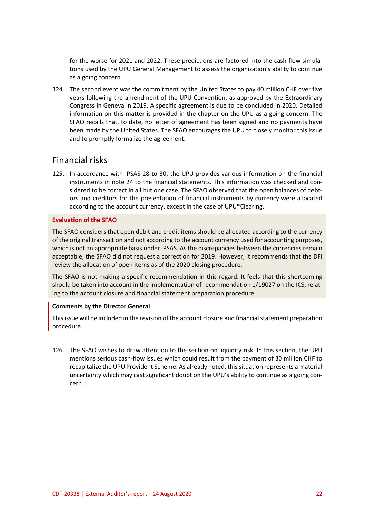for the worse for 2021 and 2022. These predictions are factored into the cash-flow simulations used by the UPU General Management to assess the organization's ability to continue as a going concern.

124. The second event was the commitment by the United States to pay 40 million CHF over five years following the amendment of the UPU Convention, as approved by the Extraordinary Congress in Geneva in 2019. A specific agreement is due to be concluded in 2020. Detailed information on this matter is provided in the chapter on the UPU as a going concern. The SFAO recalls that, to date, no letter of agreement has been signed and no payments have been made by the United States. The SFAO encourages the UPU to closely monitor this issue and to promptly formalize the agreement.

### Financial risks

125. In accordance with IPSAS 28 to 30, the UPU provides various information on the financial instruments in note 24 to the financial statements. This information was checked and considered to be correct in all but one case. The SFAO observed that the open balances of debtors and creditors for the presentation of financial instruments by currency were allocated according to the account currency, except in the case of UPU\*Clearing.

### **Evaluation of the SFAO**

The SFAO considers that open debit and credit items should be allocated according to the currency of the original transaction and not according to the account currency used for accounting purposes, which is not an appropriate basis under IPSAS. As the discrepancies between the currencies remain acceptable, the SFAO did not request a correction for 2019. However, it recommends that the DFI review the allocation of open items as of the 2020 closing procedure.

The SFAO is not making a specific recommendation in this regard. It feels that this shortcoming should be taken into account in the implementation of recommendation 1/19027 on the ICS, relating to the account closure and financial statement preparation procedure.

### **Comments by the Director General**

This issue will be included in the revision of the account closure and financial statement preparation procedure.

126. The SFAO wishes to draw attention to the section on liquidity risk. In this section, the UPU mentions serious cash-flow issues which could result from the payment of 30 million CHF to recapitalize the UPU Provident Scheme. As already noted, this situation represents a material uncertainty which may cast significant doubt on the UPU's ability to continue as a going concern.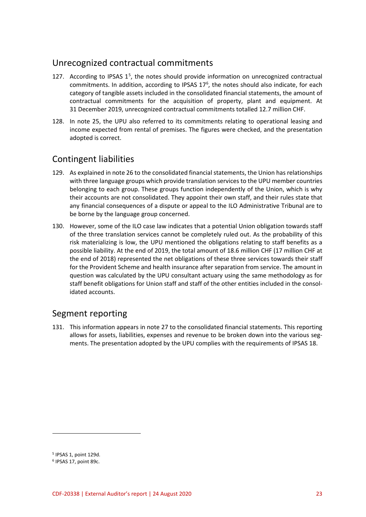### Unrecognized contractual commitments

- 127. According to IPSAS  $1<sup>5</sup>$  $1<sup>5</sup>$  $1<sup>5</sup>$ , the notes should provide information on unrecognized contractual commitments. In addition, according to IPSAS 17<sup>[6](#page-22-1)</sup>, the notes should also indicate, for each category of tangible assets included in the consolidated financial statements, the amount of contractual commitments for the acquisition of property, plant and equipment. At 31 December 2019, unrecognized contractual commitments totalled 12.7 million CHF.
- 128. In note 25, the UPU also referred to its commitments relating to operational leasing and income expected from rental of premises. The figures were checked, and the presentation adopted is correct.

### Contingent liabilities

- 129. As explained in note 26 to the consolidated financial statements, the Union has relationships with three language groups which provide translation services to the UPU member countries belonging to each group. These groups function independently of the Union, which is why their accounts are not consolidated. They appoint their own staff, and their rules state that any financial consequences of a dispute or appeal to the ILO Administrative Tribunal are to be borne by the language group concerned.
- 130. However, some of the ILO case law indicates that a potential Union obligation towards staff of the three translation services cannot be completely ruled out. As the probability of this risk materializing is low, the UPU mentioned the obligations relating to staff benefits as a possible liability. At the end of 2019, the total amount of 18.6 million CHF (17 million CHF at the end of 2018) represented the net obligations of these three services towards their staff for the Provident Scheme and health insurance after separation from service. The amount in question was calculated by the UPU consultant actuary using the same methodology as for staff benefit obligations for Union staff and staff of the other entities included in the consolidated accounts.

### Segment reporting

131. This information appears in note 27 to the consolidated financial statements. This reporting allows for assets, liabilities, expenses and revenue to be broken down into the various segments. The presentation adopted by the UPU complies with the requirements of IPSAS 18.

1

<span id="page-22-0"></span><sup>5</sup> IPSAS 1, point 129d.

<span id="page-22-1"></span><sup>6</sup> IPSAS 17, point 89c.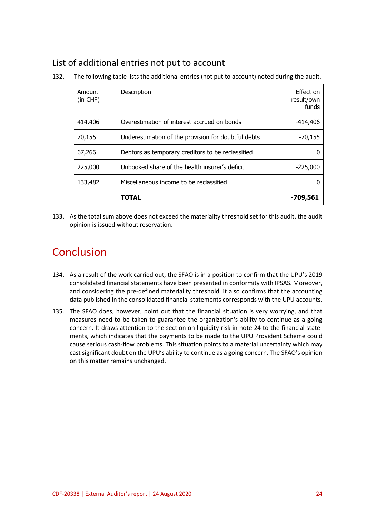## List of additional entries not put to account

| 132. | The following table lists the additional entries (not put to account) noted during the audit. |  |
|------|-----------------------------------------------------------------------------------------------|--|
|      |                                                                                               |  |

| Amount<br>(in CHF) | Description                                         | Effect on<br>result/own<br>funds |
|--------------------|-----------------------------------------------------|----------------------------------|
| 414,406            | Overestimation of interest accrued on bonds         | $-414,406$                       |
| 70,155             | Underestimation of the provision for doubtful debts | $-70,155$                        |
| 67,266             | Debtors as temporary creditors to be reclassified   |                                  |
| 225,000            | Unbooked share of the health insurer's deficit      | $-225,000$                       |
| 133,482            | Miscellaneous income to be reclassified             |                                  |
|                    | <b>TOTAL</b>                                        | -709,561                         |

133. As the total sum above does not exceed the materiality threshold set for this audit, the audit opinion is issued without reservation.

## Conclusion

- 134. As a result of the work carried out, the SFAO is in a position to confirm that the UPU's 2019 consolidated financial statements have been presented in conformity with IPSAS. Moreover, and considering the pre-defined materiality threshold, it also confirms that the accounting data published in the consolidated financial statements corresponds with the UPU accounts.
- 135. The SFAO does, however, point out that the financial situation is very worrying, and that measures need to be taken to guarantee the organization's ability to continue as a going concern. It draws attention to the section on liquidity risk in note 24 to the financial statements, which indicates that the payments to be made to the UPU Provident Scheme could cause serious cash-flow problems. This situation points to a material uncertainty which may cast significant doubt on the UPU's ability to continue as a going concern. The SFAO's opinion on this matter remains unchanged.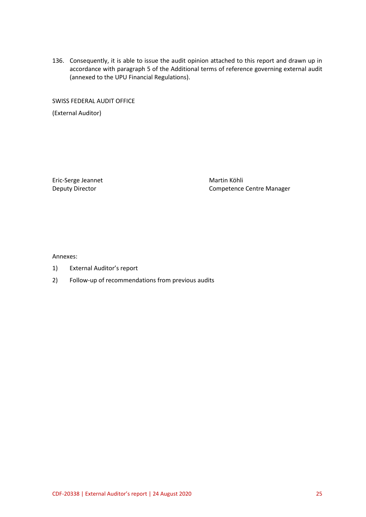136. Consequently, it is able to issue the audit opinion attached to this report and drawn up in accordance with paragraph 5 of the Additional terms of reference governing external audit (annexed to the UPU Financial Regulations).

SWISS FEDERAL AUDIT OFFICE

(External Auditor)

Eric-Serge Jeannet Martin Köhli

Deputy Director **Competence Centre Manager** 

Annexes:

- 1) External Auditor's report
- 2) Follow-up of recommendations from previous audits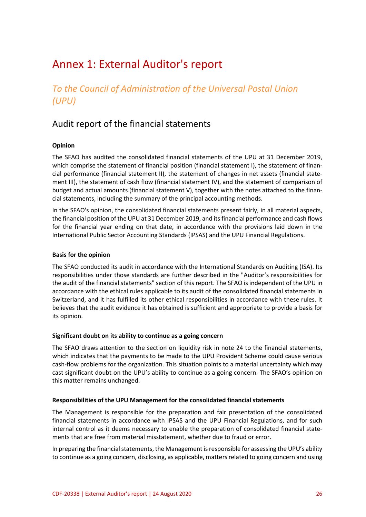# Annex 1: External Auditor's report

## *To the Council of Administration of the Universal Postal Union (UPU)*

### Audit report of the financial statements

#### **Opinion**

The SFAO has audited the consolidated financial statements of the UPU at 31 December 2019, which comprise the statement of financial position (financial statement I), the statement of financial performance (financial statement II), the statement of changes in net assets (financial statement III), the statement of cash flow (financial statement IV), and the statement of comparison of budget and actual amounts (financial statement V), together with the notes attached to the financial statements, including the summary of the principal accounting methods.

In the SFAO's opinion, the consolidated financial statements present fairly, in all material aspects, the financial position of the UPU at 31 December 2019, and its financial performance and cash flows for the financial year ending on that date, in accordance with the provisions laid down in the International Public Sector Accounting Standards (IPSAS) and the UPU Financial Regulations.

#### **Basis for the opinion**

The SFAO conducted its audit in accordance with the International Standards on Auditing (ISA). Its responsibilities under those standards are further described in the "Auditor's responsibilities for the audit of the financial statements" section of this report. The SFAO is independent of the UPU in accordance with the ethical rules applicable to its audit of the consolidated financial statements in Switzerland, and it has fulfilled its other ethical responsibilities in accordance with these rules. It believes that the audit evidence it has obtained is sufficient and appropriate to provide a basis for its opinion.

#### **Significant doubt on its ability to continue as a going concern**

The SFAO draws attention to the section on liquidity risk in note 24 to the financial statements, which indicates that the payments to be made to the UPU Provident Scheme could cause serious cash-flow problems for the organization. This situation points to a material uncertainty which may cast significant doubt on the UPU's ability to continue as a going concern. The SFAO's opinion on this matter remains unchanged.

#### **Responsibilities of the UPU Management for the consolidated financial statements**

The Management is responsible for the preparation and fair presentation of the consolidated financial statements in accordance with IPSAS and the UPU Financial Regulations, and for such internal control as it deems necessary to enable the preparation of consolidated financial statements that are free from material misstatement, whether due to fraud or error.

In preparing the financial statements, the Management is responsible for assessing the UPU's ability to continue as a going concern, disclosing, as applicable, matters related to going concern and using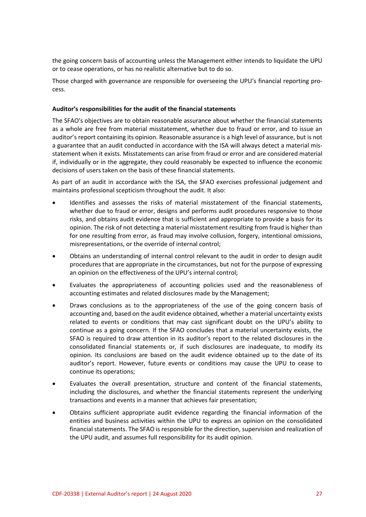the going concern basis of accounting unless the Management either intends to liquidate the UPU or to cease operations, or has no realistic alternative but to do so.

Those charged with governance are responsible for overseeing the UPU's financial reporting process.

#### **Auditor's responsibilities for the audit of the financial statements**

The SFAO's objectives are to obtain reasonable assurance about whether the financial statements as a whole are free from material misstatement, whether due to fraud or error, and to issue an auditor's report containing its opinion. Reasonable assurance is a high level of assurance, but is not a guarantee that an audit conducted in accordance with the ISA will always detect a material misstatement when it exists. Misstatements can arise from fraud or error and are considered material if, individually or in the aggregate, they could reasonably be expected to influence the economic decisions of users taken on the basis of these financial statements.

As part of an audit in accordance with the ISA, the SFAO exercises professional judgement and maintains professional scepticism throughout the audit. It also:

- Identifies and assesses the risks of material misstatement of the financial statements, whether due to fraud or error, designs and performs audit procedures responsive to those risks, and obtains audit evidence that is sufficient and appropriate to provide a basis for its opinion. The risk of not detecting a material misstatement resulting from fraud is higher than for one resulting from error, as fraud may involve collusion, forgery, intentional omissions, misrepresentations, or the override of internal control;
- Obtains an understanding of internal control relevant to the audit in order to design audit procedures that are appropriate in the circumstances, but not for the purpose of expressing an opinion on the effectiveness of the UPU's internal control;
- Evaluates the appropriateness of accounting policies used and the reasonableness of accounting estimates and related disclosures made by the Management;
- Draws conclusions as to the appropriateness of the use of the going concern basis of accounting and, based on the audit evidence obtained, whether a material uncertainty exists related to events or conditions that may cast significant doubt on the UPU's ability to continue as a going concern. If the SFAO concludes that a material uncertainty exists, the SFAO is required to draw attention in its auditor's report to the related disclosures in the consolidated financial statements or, if such disclosures are inadequate, to modify its opinion. Its conclusions are based on the audit evidence obtained up to the date of its auditor's report. However, future events or conditions may cause the UPU to cease to continue its operations;
- Evaluates the overall presentation, structure and content of the financial statements, including the disclosures, and whether the financial statements represent the underlying transactions and events in a manner that achieves fair presentation;
- Obtains sufficient appropriate audit evidence regarding the financial information of the entities and business activities within the UPU to express an opinion on the consolidated financial statements. The SFAO is responsible for the direction, supervision and realization of the UPU audit, and assumes full responsibility for its audit opinion.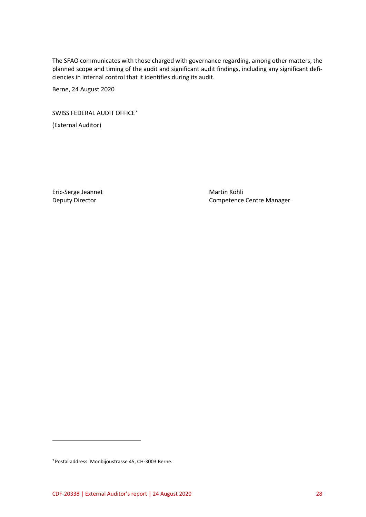The SFAO communicates with those charged with governance regarding, among other matters, the planned scope and timing of the audit and significant audit findings, including any significant deficiencies in internal control that it identifies during its audit.

Berne, 24 August 2020

SWISS FEDERAL AUDIT OFFICE[7](#page-27-0)

(External Auditor)

Eric-Serge Jeannet Martin Köhli

Deputy Director **Competence Centre Manager** 

1

<span id="page-27-0"></span><sup>7</sup> Postal address: Monbijoustrasse 45, CH-3003 Berne.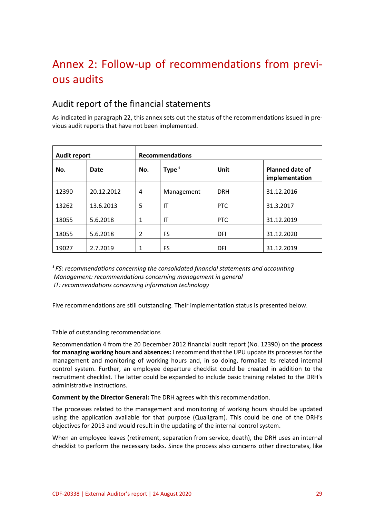# Annex 2: Follow-up of recommendations from previous audits

### Audit report of the financial statements

As indicated in paragraph 22, this annex sets out the status of the recommendations issued in previous audit reports that have not been implemented.

| <b>Audit report</b> |            | <b>Recommendations</b> |                   |            |                                          |
|---------------------|------------|------------------------|-------------------|------------|------------------------------------------|
| No.                 | Date       | No.                    | Type <sup>1</sup> | Unit       | <b>Planned date of</b><br>implementation |
| 12390               | 20.12.2012 | 4                      | Management        | <b>DRH</b> | 31.12.2016                               |
| 13262               | 13.6.2013  | 5                      | IT                | PTC        | 31.3.2017                                |
| 18055               | 5.6.2018   | 1                      | IT                | <b>PTC</b> | 31.12.2019                               |
| 18055               | 5.6.2018   | $\overline{2}$         | <b>FS</b>         | DFI        | 31.12.2020                               |
| 19027               | 2.7.2019   | 1                      | FS                | DFI        | 31.12.2019                               |

*<sup>1</sup> FS: recommendations concerning the consolidated financial statements and accounting Management: recommendations concerning management in general IT: recommendations concerning information technology*

Five recommendations are still outstanding. Their implementation status is presented below.

#### Table of outstanding recommendations

Recommendation 4 from the 20 December 2012 financial audit report (No. 12390) on the **process for managing working hours and absences:** I recommend that the UPU update its processes for the management and monitoring of working hours and, in so doing, formalize its related internal control system. Further, an employee departure checklist could be created in addition to the recruitment checklist. The latter could be expanded to include basic training related to the DRH's administrative instructions.

**Comment by the Director General:** The DRH agrees with this recommendation.

The processes related to the management and monitoring of working hours should be updated using the application available for that purpose (Qualigram). This could be one of the DRH's objectives for 2013 and would result in the updating of the internal control system.

When an employee leaves (retirement, separation from service, death), the DRH uses an internal checklist to perform the necessary tasks. Since the process also concerns other directorates, like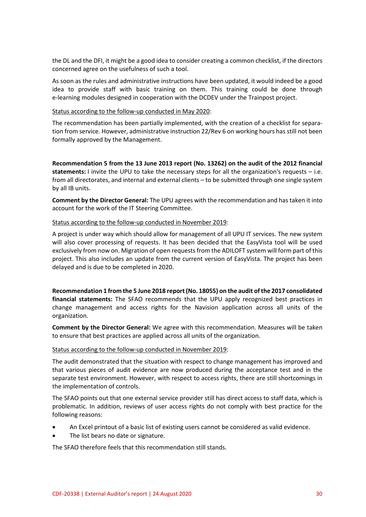the DL and the DFI, it might be a good idea to consider creating a common checklist, if the directors concerned agree on the usefulness of such a tool.

As soon as the rules and administrative instructions have been updated, it would indeed be a good idea to provide staff with basic training on them. This training could be done through e-learning modules designed in cooperation with the DCDEV under the Trainpost project.

#### Status according to the follow-up conducted in May 2020:

The recommendation has been partially implemented, with the creation of a checklist for separation from service. However, administrative instruction 22/Rev 6 on working hours has still not been formally approved by the Management.

**Recommendation 5 from the 13 June 2013 report (No. 13262) on the audit of the 2012 financial statements:** I invite the UPU to take the necessary steps for all the organization's requests – i.e. from all directorates, and internal and external clients – to be submitted through one single system by all IB units.

**Comment by the Director General:** The UPU agrees with the recommendation and has taken it into account for the work of the IT Steering Committee.

#### Status according to the follow-up conducted in November 2019:

A project is under way which should allow for management of all UPU IT services. The new system will also cover processing of requests. It has been decided that the EasyVista tool will be used exclusively from now on. Migration of open requests from the ADILOFT system will form part of this project. This also includes an update from the current version of EasyVista. The project has been delayed and is due to be completed in 2020.

**Recommendation 1 from the 5 June 2018 report (No. 18055) on the audit of the 2017 consolidated financial statements:** The SFAO recommends that the UPU apply recognized best practices in change management and access rights for the Navision application across all units of the organization.

**Comment by the Director General:** We agree with this recommendation. Measures will be taken to ensure that best practices are applied across all units of the organization.

#### Status according to the follow-up conducted in November 2019:

The audit demonstrated that the situation with respect to change management has improved and that various pieces of audit evidence are now produced during the acceptance test and in the separate test environment. However, with respect to access rights, there are still shortcomings in the implementation of controls.

The SFAO points out that one external service provider still has direct access to staff data, which is problematic. In addition, reviews of user access rights do not comply with best practice for the following reasons:

- An Excel printout of a basic list of existing users cannot be considered as valid evidence.
- The list bears no date or signature.

The SFAO therefore feels that this recommendation still stands.